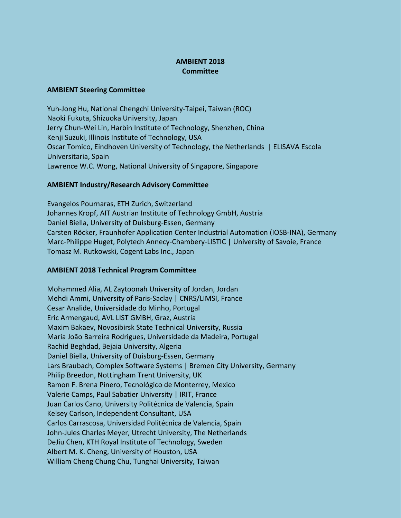## **AMBIENT 2018 Committee**

## **AMBIENT Steering Committee**

Yuh-Jong Hu, National Chengchi University-Taipei, Taiwan (ROC) Naoki Fukuta, Shizuoka University, Japan Jerry Chun-Wei Lin, Harbin Institute of Technology, Shenzhen, China Kenji Suzuki, Illinois Institute of Technology, USA Oscar Tomico, Eindhoven University of Technology, the Netherlands | ELISAVA Escola Universitaria, Spain Lawrence W.C. Wong, National University of Singapore, Singapore

## **AMBIENT Industry/Research Advisory Committee**

Evangelos Pournaras, ETH Zurich, Switzerland Johannes Kropf, AIT Austrian Institute of Technology GmbH, Austria Daniel Biella, University of Duisburg-Essen, Germany Carsten Röcker, Fraunhofer Application Center Industrial Automation (IOSB-INA), Germany Marc-Philippe Huget, Polytech Annecy-Chambery-LISTIC | University of Savoie, France Tomasz M. Rutkowski, Cogent Labs Inc., Japan

## **AMBIENT 2018 Technical Program Committee**

Mohammed Alia, AL Zaytoonah University of Jordan, Jordan Mehdi Ammi, University of Paris-Saclay | CNRS/LIMSI, France Cesar Analide, Universidade do Minho, Portugal Eric Armengaud, AVL LIST GMBH, Graz, Austria Maxim Bakaev, Novosibirsk State Technical University, Russia Maria João Barreira Rodrigues, Universidade da Madeira, Portugal Rachid Beghdad, Bejaia University, Algeria Daniel Biella, University of Duisburg-Essen, Germany Lars Braubach, Complex Software Systems | Bremen City University, Germany Philip Breedon, Nottingham Trent University, UK Ramon F. Brena Pinero, Tecnológico de Monterrey, Mexico Valerie Camps, Paul Sabatier University | IRIT, France Juan Carlos Cano, University Politécnica de Valencia, Spain Kelsey Carlson, Independent Consultant, USA Carlos Carrascosa, Universidad Politécnica de Valencia, Spain John-Jules Charles Meyer, Utrecht University, The Netherlands DeJiu Chen, KTH Royal Institute of Technology, Sweden Albert M. K. Cheng, University of Houston, USA William Cheng Chung Chu, Tunghai University, Taiwan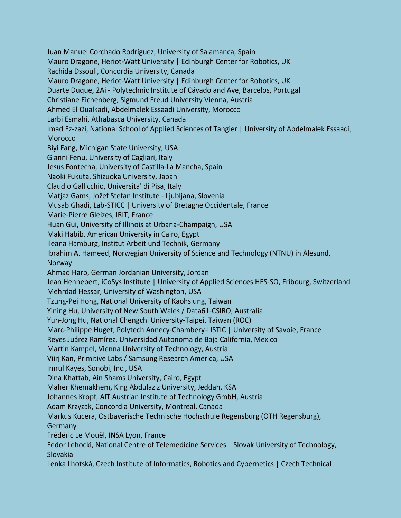Juan Manuel Corchado Rodríguez, University of Salamanca, Spain Mauro Dragone, Heriot-Watt University | Edinburgh Center for Robotics, UK Rachida Dssouli, Concordia University, Canada Mauro Dragone, Heriot-Watt University | Edinburgh Center for Robotics, UK Duarte Duque, 2Ai - Polytechnic Institute of Cávado and Ave, Barcelos, Portugal Christiane Eichenberg, Sigmund Freud University Vienna, Austria Ahmed El Oualkadi, Abdelmalek Essaadi University, Morocco Larbi Esmahi, Athabasca University, Canada Imad Ez-zazi, National School of Applied Sciences of Tangier | University of Abdelmalek Essaadi, **Morocco** Biyi Fang, Michigan State University, USA Gianni Fenu, University of Cagliari, Italy Jesus Fontecha, University of Castilla-La Mancha, Spain Naoki Fukuta, Shizuoka University, Japan Claudio Gallicchio, Universita' di Pisa, Italy Matjaz Gams, Jožef Stefan Institute - Ljubljana, Slovenia Musab Ghadi, Lab-STICC | University of Bretagne Occidentale, France Marie-Pierre Gleizes, IRIT, France Huan Gui, University of Illinois at Urbana-Champaign, USA Maki Habib, American University in Cairo, Egypt Ileana Hamburg, Institut Arbeit und Technik, Germany Ibrahim A. Hameed, Norwegian University of Science and Technology (NTNU) in Ålesund, Norway Ahmad Harb, German Jordanian University, Jordan Jean Hennebert, iCoSys Institute | University of Applied Sciences HES-SO, Fribourg, Switzerland Mehrdad Hessar, University of Washington, USA Tzung-Pei Hong, National University of Kaohsiung, Taiwan Yining Hu, University of New South Wales / Data61-CSIRO, Australia Yuh-Jong Hu, National Chengchi University-Taipei, Taiwan (ROC) Marc-Philippe Huget, Polytech Annecy-Chambery-LISTIC | University of Savoie, France Reyes Juárez Ramírez, Universidad Autonoma de Baja California, Mexico Martin Kampel, Vienna University of Technology, Austria Viirj Kan, Primitive Labs / Samsung Research America, USA Imrul Kayes, Sonobi, Inc., USA Dina Khattab, Ain Shams University, Cairo, Egypt Maher Khemakhem, King Abdulaziz University, Jeddah, KSA Johannes Kropf, AIT Austrian Institute of Technology GmbH, Austria Adam Krzyzak, Concordia University, Montreal, Canada Markus Kucera, Ostbayerische Technische Hochschule Regensburg (OTH Regensburg), **Germany** Frédéric Le Mouël, INSA Lyon, France Fedor Lehocki, National Centre of Telemedicine Services | Slovak University of Technology, Slovakia Lenka Lhotská, Czech Institute of Informatics, Robotics and Cybernetics | Czech Technical